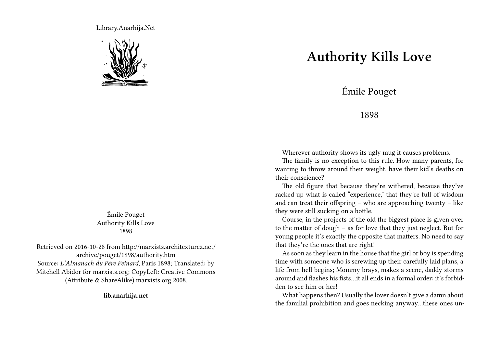Library.Anarhija.Net



Émile Pouget Authority Kills Love 1898

Retrieved on 2016-10-28 from http://marxists.architexturez.net/ archive/pouget/1898/authority.htm Source: *L'Almanach du Père Peinard*, Paris 1898; Translated: by Mitchell Abidor for marxists.org; CopyLeft: Creative Commons (Attribute & ShareAlike) marxists.org 2008.

**lib.anarhija.net**

## **Authority Kills Love**

Émile Pouget

## 1898

Wherever authority shows its ugly mug it causes problems.

The family is no exception to this rule. How many parents, for wanting to throw around their weight, have their kid's deaths on their conscience?

The old figure that because they're withered, because they've racked up what is called "experience," that they're full of wisdom and can treat their offspring – who are approaching twenty – like they were still sucking on a bottle.

Course, in the projects of the old the biggest place is given over to the matter of dough – as for love that they just neglect. But for young people it's exactly the opposite that matters. No need to say that they're the ones that are right!

As soon as they learn in the house that the girl or boy is spending time with someone who is screwing up their carefully laid plans, a life from hell begins; Mommy brays, makes a scene, daddy storms around and flashes his fists…it all ends in a formal order: it's forbidden to see him or her!

What happens then? Usually the lover doesn't give a damn about the familial prohibition and goes necking anyway…these ones un